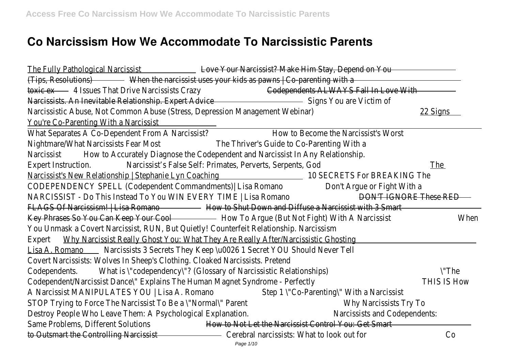## **Co Narcissism How We Accommodate To Narcissistic Parents**

The Fully Pathological Narcissist Love Your Narcissist? Make Him Stay, Depend on You (Tips, Resolutions) When the narcissist uses your kids as pawns | Co-parenting with a toxic ex 4 Issues That Drive Narcissists Crazy Codependents ALWAYS Fall In Love With Narcissists. An Inevitable Relationship. Expert Advice Signs You are Victim of Narcissistic Abuse, Not Common Abuse (Stress, Depression Management Webinar) 22 Signs You're Co-Parenting With a Narcissist What Separates A Co-Dependent From A Narcissist? How to Become the Narcissist's Worst Nightmare/What Narcissists Fear Most The Thriver's Guide to Co-Parenting With a Narcissist How to Accurately Diagnose the Codependent and Narcissist In Any Relationship Expert Instruction. Narcissist's False Self: Primates, Perverts, Serpents, God The Narcissist's New Relationship | Stephanie Lyn Coaching 10 SECRETS For BREAKING The CODEPENDENCY SPELL (Codependent Commandments)| Lisa Romano Don't Argue or Fight With a NARCISSIST - Do This Instead To You WIN EVERY TIME | Lisa Romano DON'T IGNORE These RED FLAGS Of Narcissism! | Lisa Romano - How to Shut Down and Diffuse a Narcissist with 3 Smart Key Phrases So You Can Keep Your Cool - How To Argue (But Not Fight) With A Narcissist When You Unmask a Covert Narcissist, RUN, But Quietly! Counterfeit Relationship. Narcissisr Expert Why Narcissist Really Ghost You: What They Are Really After/Narcissistic Ghosting Lisa A. Romano Marcissists 3 Secrets They Keep \u0026 1 Secret YOU Should Never Tell Covert Narcissists: Wolves In Sheep's Clothing. Cloaked Narcissists. Pretene Codependents. What is \"codependency\"? (Glossary of Narcissistic Relationships) \"The Codependent/Narcissist Dance\" Explains The Human Magnet Syndrome - Perfectly THIS IS How A Narcissist MANIPULATES YOU | Lisa A. Romano Step 1 \"Co-Parenting\" With a Narcissist STOP Trying to Force The Narcissist To Be a \"Normal\" Parent Normand Why Narcissists Try To Destroy People Who Leave Them: A Psychological Explanation. Narcissists and Codependents Same Problems, Different Solutions How to Not Let the Narcissist Control You: Get Smart to Outsmart the Controlling Narcissist Cerebral narcissists: What to look out for Co Page 1/10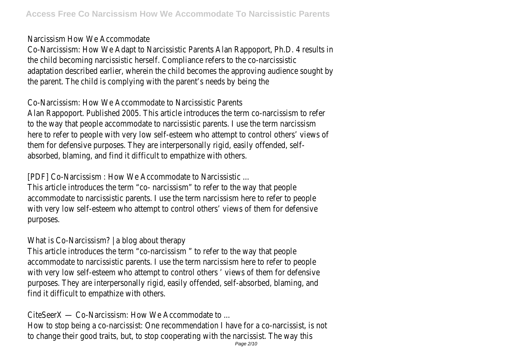## Narcissism How We Accommodate

Co-Narcissism: How We Adapt to Narcissistic Parents Alan Rappoport, Ph.D. 4 results in the child becoming narcissistic herself. Compliance refers to the co-narcissistic adaptation described earlier, wherein the child becomes the approving audience sought b the parent. The child is complying with the parent's needs by being the

## Co-Narcissism: How We Accommodate to Narcissistic Parents

Alan Rappoport. Published 2005. This article introduces the term co-narcissism to referto the way that people accommodate to narcissistic parents. I use the term narcissism here to refer to people with very low self-esteem who attempt to control others' views of them for defensive purposes. They are interpersonally rigid, easily offended, selfabsorbed, blaming, and find it difficult to empathize with others.

[PDF] Co-Narcissism : How We Accommodate to Narcissistic ...

This article introduces the term "co- narcissism" to refer to the way that people accommodate to narcissistic parents. I use the term narcissism here to refer to people with very low self-esteem who attempt to control others' views of them for defensive purposes.

## What is Co-Narcissism? | a blog about therapy

This article introduces the term "co-narcissism" to refer to the way that people accommodate to narcissistic parents. I use the term narcissism here to refer to peopl with very low self-esteem who attempt to control others ' views of them for defensive purposes. They are interpersonally rigid, easily offended, self-absorbed, blaming, and find it difficult to empathize with others.

CiteSeerX — Co-Narcissism: How We Accommodate to ...

How to stop being a co-narcissist: One recommendation I have for a co-narcissist, is no to change their good traits, but, to stop cooperating with the narcissist. The way thi Page 2/10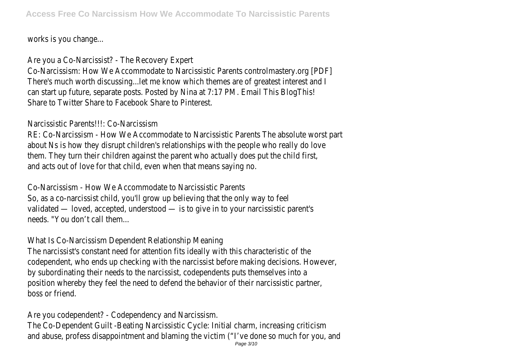works is you change...

Are you a Co-Narcissist? - The Recovery Expert

Co-Narcissism: How We Accommodate to Narcissistic Parents controlmastery.org [PDF] There's much worth discussing...let me know which themes are of greatest interest and I can start up future, separate posts. Posted by Nina at 7:17 PM. Email This BlogThis Share to Twitter Share to Facebook Share to Pinterest.

Narcissistic Parents!!!: Co-Narcissism

RE: Co-Narcissism - How We Accommodate to Narcissistic Parents The absolute worst part about Ns is how they disrupt children's relationships with the people who really do love them. They turn their children against the parent who actually does put the child first and acts out of love for that child, even when that means saying no.

Co-Narcissism - How We Accommodate to Narcissistic Parents So, as a co-narcissist child, you'll grow up believing that the only way to fee validated — loved, accepted, understood — is to give in to your narcissistic parent' needs. "You don't call them...

What Is Co-Narcissism Dependent Relationship Meaning

The narcissist's constant need for attention fits ideally with this characteristic of the codependent, who ends up checking with the narcissist before making decisions. Howeve by subordinating their needs to the narcissist, codependents puts themselves into a position whereby they feel the need to defend the behavior of their narcissistic partne boss or friend.

Are you codependent? - Codependency and Narcissism. The Co-Dependent Guilt -Beating Narcissistic Cycle: Initial charm, increasing criticism and abuse, profess disappointment and blaming the victim ("I've done so much for you, an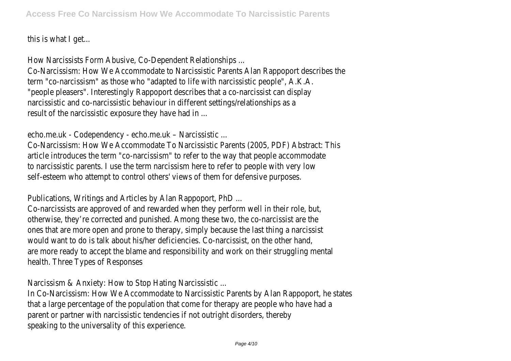this is what I get...

How Narcissists Form Abusive, Co-Dependent Relationships ...

Co-Narcissism: How We Accommodate to Narcissistic Parents Alan Rappoport describes the term "co-narcissism" as those who "adapted to life with narcissistic people", A.K.A. "people pleasers". Interestingly Rappoport describes that a co-narcissist can display narcissistic and co-narcissistic behaviour in different settings/relationships as result of the narcissistic exposure they have had in ...

echo.me.uk - Codependency - echo.me.uk – Narcissistic ...

Co-Narcissism: How We Accommodate To Narcissistic Parents (2005, PDF) Abstract: Thi article introduces the term "co-narcissism" to refer to the way that people accommodat to narcissistic parents. I use the term narcissism here to refer to people with very low self-esteem who attempt to control others' views of them for defensive purposes

Publications, Writings and Articles by Alan Rappoport, PhD ...

Co-narcissists are approved of and rewarded when they perform well in their role, but otherwise, they're corrected and punished. Among these two, the co-narcissist are the ones that are more open and prone to therapy, simply because the last thing a narcissis would want to do is talk about his/her deficiencies. Co-narcissist, on the other hand are more ready to accept the blame and responsibility and work on their struggling mental health. Three Types of Responses

Narcissism & Anxiety: How to Stop Hating Narcissistic ...

In Co-Narcissism: How We Accommodate to Narcissistic Parents by Alan Rappoport, he state that a large percentage of the population that come for therapy are people who have had parent or partner with narcissistic tendencies if not outright disorders, thereb speaking to the universality of this experience.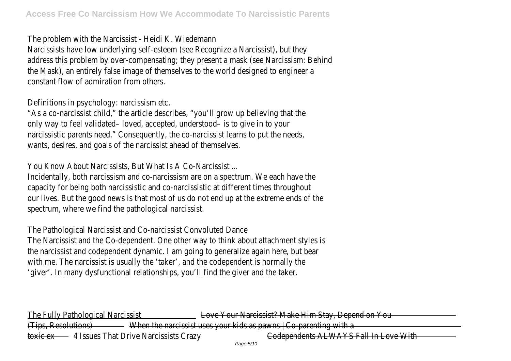The problem with the Narcissist - Heidi K. Wiedemann

Narcissists have low underlying self-esteem (see Recognize a Narcissist), but the address this problem by over-compensating; they present a mask (see Narcissism: Behin the Mask), an entirely false image of themselves to the world designed to engineer a constant flow of admiration from others.

Definitions in psychology: narcissism etc.

"As a co-narcissist child," the article describes, "you'll grow up believing that the only way to feel validated- loved, accepted, understood- is to give in to you narcissistic parents need." Consequently, the co-narcissist learns to put the needs wants, desires, and goals of the narcissist ahead of themselves.

You Know About Narcissists, But What Is A Co-Narcissist.

Incidentally, both narcissism and co-narcissism are on a spectrum. We each have the capacity for being both narcissistic and co-narcissistic at different times throughout our lives. But the good news is that most of us do not end up at the extreme ends of the spectrum, where we find the pathological narcissist.

The Pathological Narcissist and Co-narcissist Convoluted Dance

The Narcissist and the Co-dependent. One other way to think about attachment styles i the narcissist and codependent dynamic. I am going to generalize again here, but bear with me. The narcissist is usually the 'taker', and the codependent is normally the 'giver'. In many dysfunctional relationships, you'll find the giver and the taker

The Fully Pathological Narcissist Love Your Narcissist? Make Him Stay, Depend on You (Tips, Resolutions) When the narcissist uses your kids as pawns | Co-parenting with a toxic ex 4 Issues That Drive Narcissists Crazy **Codependents ALWAYS Fall In Love With**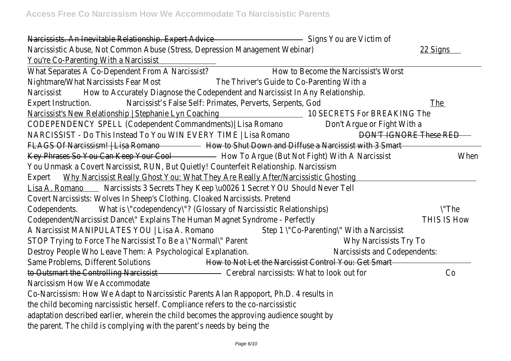Narcissists. An Inevitable Relationship. Expert Advice Signs You are Victim of Narcissistic Abuse, Not Common Abuse (Stress, Depression Management Webinar) 22 Signs You're Co-Parenting With a Narcissist What Separates A Co-Dependent From A Narcissist? How to Become the Narcissist's Worst Nightmare/What Narcissists Fear Most The Thriver's Guide to Co-Parenting With a Narcissist How to Accurately Diagnose the Codependent and Narcissist In Any Relationship Expert Instruction. Narcissist's False Self: Primates, Perverts, Serpents, God The Narcissist's New Relationship | Stephanie Lyn Coaching 10 SECRETS For BREAKING The CODEPENDENCY SPELL (Codependent Commandments)| Lisa Romano Don't Argue or Fight With a NARCISSIST - Do This Instead To You WIN EVERY TIME | Lisa Romano DON'T IGNORE These RED FLAGS Of Narcissism! | Lisa Romano - How to Shut Down and Diffuse a Narcissist with 3 Smart Key Phrases So You Can Keep Your Cool - How To Argue (But Not Fight) With A Narcissist When You Unmask a Covert Narcissist, RUN, But Quietly! Counterfeit Relationship. Narcissism Expert Why Narcissist Really Ghost You: What They Are Really After/Narcissistic Ghosting Lisa A. Romano Narcissists 3 Secrets They Keep \u0026 1 Secret YOU Should Never Tel Covert Narcissists: Wolves In Sheep's Clothing. Cloaked Narcissists. Pretend Codependents. What is \"codependency\"? (Glossary of Narcissistic Relationships) \"The Codependent/Narcissist Dance\" Explains The Human Magnet Syndrome - Perfectly THIS IS How A Narcissist MANIPULATES YOU | Lisa A. Romano Step 1 \"Co-Parenting\" With a Narcissist STOP Trying to Force The Narcissist To Be a \"Normal\" Parent Why Narcissists Try To Destroy People Who Leave Them: A Psychological Explanation. Narcissists and Codependents: Same Problems, Different Solutions How to Not Let the Narcissist Control You: Get Smart to Outsmart the Controlling Narcissist Cerebral narcissists: What to look out for Co Narcissism How We Accommodate Co-Narcissism: How We Adapt to Narcissistic Parents Alan Rappoport, Ph.D. 4 results in the child becoming narcissistic herself. Compliance refers to the co-narcissistic

adaptation described earlier, wherein the child becomes the approving audience sought b

the parent. The child is complying with the parent's needs by being the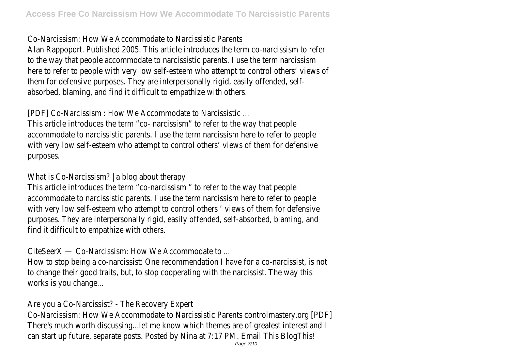Co-Narcissism: How We Accommodate to Narcissistic Parents

Alan Rappoport. Published 2005. This article introduces the term co-narcissism to referto the way that people accommodate to narcissistic parents. I use the term narcissism here to refer to people with very low self-esteem who attempt to control others' views of them for defensive purposes. They are interpersonally rigid, easily offended, selfabsorbed, blaming, and find it difficult to empathize with others.

[PDF] Co-Narcissism : How We Accommodate to Narcissistic ...

This article introduces the term "co- narcissism" to refer to the way that people accommodate to narcissistic parents. I use the term narcissism here to refer to people with very low self-esteem who attempt to control others' views of them for defensive purposes.

What is Co-Narcissism? | a blog about therapy

This article introduces the term "co-narcissism" to refer to the way that people accommodate to narcissistic parents. I use the term narcissism here to refer to people with very low self-esteem who attempt to control others ' views of them for defensive purposes. They are interpersonally rigid, easily offended, self-absorbed, blaming, and find it difficult to empathize with others.

CiteSeerX — Co-Narcissism: How We Accommodate to ...

How to stop being a co-narcissist: One recommendation I have for a co-narcissist, is no to change their good traits, but, to stop cooperating with the narcissist. The way this works is you change...

Are you a Co-Narcissist? - The Recovery Expert

Co-Narcissism: How We Accommodate to Narcissistic Parents controlmastery.org [PDF] There's much worth discussing...let me know which themes are of greatest interest and I can start up future, separate posts. Posted by Nina at 7:17 PM. Email This BlogThis!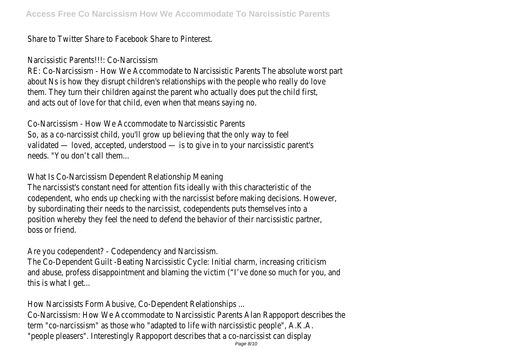Share to Twitter Share to Facebook Share to Pinterest.

Narcissistic Parents!!!: Co-Narcissism

RE: Co-Narcissism - How We Accommodate to Narcissistic Parents The absolute worst par about Ns is how they disrupt children's relationships with the people who really do lov them. They turn their children against the parent who actually does put the child first and acts out of love for that child, even when that means saying no.

Co-Narcissism - How We Accommodate to Narcissistic Parents So, as a co-narcissist child, you'll grow up believing that the only way to fee validated — loved, accepted, understood — is to give in to your narcissistic parent' needs. "You don't call them.

What Is Co-Narcissism Dependent Relationship Meaning

The narcissist's constant need for attention fits ideally with this characteristic of the codependent, who ends up checking with the narcissist before making decisions. Howeve by subordinating their needs to the narcissist, codependents puts themselves into a position whereby they feel the need to defend the behavior of their narcissistic partne boss or friend.

Are you codependent? - Codependency and Narcissism.

The Co-Dependent Guilt -Beating Narcissistic Cycle: Initial charm, increasing criticism and abuse, profess disappointment and blaming the victim ("I've done so much for you, an this is what I get...

How Narcissists Form Abusive, Co-Dependent Relationships ...

Co-Narcissism: How We Accommodate to Narcissistic Parents Alan Rappoport describes the term "co-narcissism" as those who "adapted to life with narcissistic people", A.K.A. "people pleasers". Interestingly Rappoport describes that a co-narcissist can display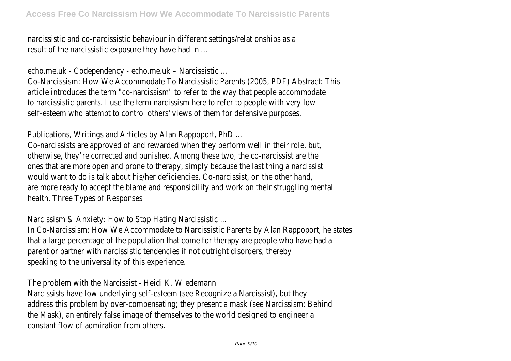narcissistic and co-narcissistic behaviour in different settings/relationships as result of the narcissistic exposure they have had in ...

echo.me.uk - Codependency - echo.me.uk – Narcissistic ...

Co-Narcissism: How We Accommodate To Narcissistic Parents (2005, PDF) Abstract: This article introduces the term "co-narcissism" to refer to the way that people accommodat to narcissistic parents. I use the term narcissism here to refer to people with very low self-esteem who attempt to control others' views of them for defensive purposes

Publications, Writings and Articles by Alan Rappoport, PhD ...

Co-narcissists are approved of and rewarded when they perform well in their role, but otherwise, they're corrected and punished. Among these two, the co-narcissist are the ones that are more open and prone to therapy, simply because the last thing a narcissis would want to do is talk about his/her deficiencies. Co-narcissist, on the other hand are more ready to accept the blame and responsibility and work on their struggling mental health. Three Types of Responses

Narcissism & Anxiety: How to Stop Hating Narcissistic ...

In Co-Narcissism: How We Accommodate to Narcissistic Parents by Alan Rappoport, he state that a large percentage of the population that come for therapy are people who have had parent or partner with narcissistic tendencies if not outright disorders, thereb speaking to the universality of this experience.

The problem with the Narcissist - Heidi K. Wiedemann

Narcissists have low underlying self-esteem (see Recognize a Narcissist), but the address this problem by over-compensating; they present a mask (see Narcissism: Behin the Mask), an entirely false image of themselves to the world designed to engineer a constant flow of admiration from others.